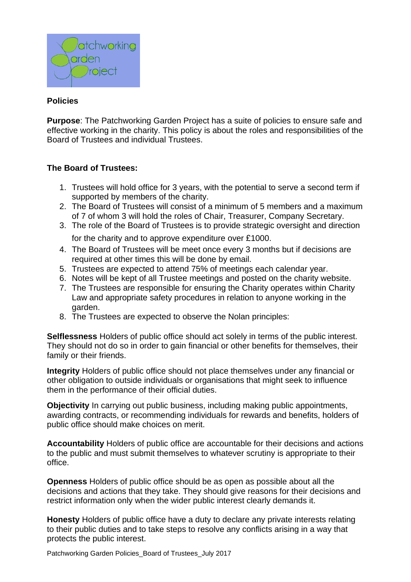

## **Policies**

**Purpose**: The Patchworking Garden Project has a suite of policies to ensure safe and effective working in the charity. This policy is about the roles and responsibilities of the Board of Trustees and individual Trustees.

#### **The Board of Trustees:**

- 1. Trustees will hold office for 3 years, with the potential to serve a second term if supported by members of the charity.
- 2. The Board of Trustees will consist of a minimum of 5 members and a maximum of 7 of whom 3 will hold the roles of Chair, Treasurer, Company Secretary.
- 3. The role of the Board of Trustees is to provide strategic oversight and direction for the charity and to approve expenditure over £1000.
- 4. The Board of Trustees will be meet once every 3 months but if decisions are required at other times this will be done by email.
- 5. Trustees are expected to attend 75% of meetings each calendar year.
- 6. Notes will be kept of all Trustee meetings and posted on the charity website.
- 7. The Trustees are responsible for ensuring the Charity operates within Charity Law and appropriate safety procedures in relation to anyone working in the garden.
- 8. The Trustees are expected to observe the Nolan principles:

**Selflessness** Holders of public office should act solely in terms of the public interest. They should not do so in order to gain financial or other benefits for themselves, their family or their friends.

**Integrity** Holders of public office should not place themselves under any financial or other obligation to outside individuals or organisations that might seek to influence them in the performance of their official duties.

**Objectivity** In carrying out public business, including making public appointments, awarding contracts, or recommending individuals for rewards and benefits, holders of public office should make choices on merit.

**Accountability** Holders of public office are accountable for their decisions and actions to the public and must submit themselves to whatever scrutiny is appropriate to their office.

**Openness** Holders of public office should be as open as possible about all the decisions and actions that they take. They should give reasons for their decisions and restrict information only when the wider public interest clearly demands it.

**Honesty** Holders of public office have a duty to declare any private interests relating to their public duties and to take steps to resolve any conflicts arising in a way that protects the public interest.

Patchworking Garden Policies\_Board of Trustees\_July 2017